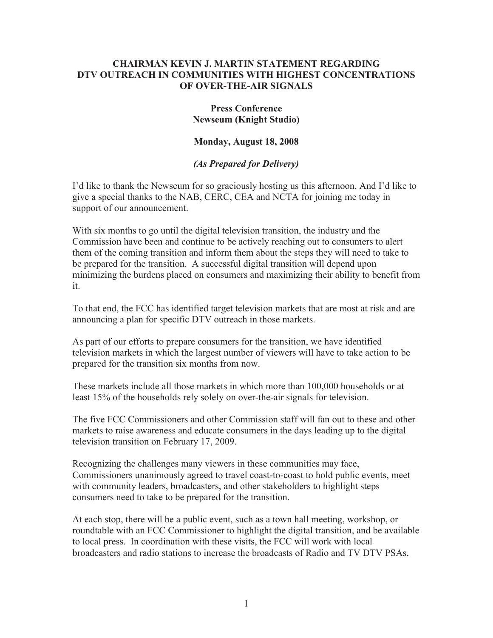## **CHAIRMAN KEVIN J. MARTIN STATEMENT REGARDING DTV OUTREACH IN COMMUNITIES WITH HIGHEST CONCENTRATIONS OF OVER-THE-AIR SIGNALS**

## **Press Conference Newseum (Knight Studio)**

## **Monday, August 18, 2008**

## *(As Prepared for Delivery)*

I'd like to thank the Newseum for so graciously hosting us this afternoon. And I'd like to give a special thanks to the NAB, CERC, CEA and NCTA for joining me today in support of our announcement.

With six months to go until the digital television transition, the industry and the Commission have been and continue to be actively reaching out to consumers to alert them of the coming transition and inform them about the steps they will need to take to be prepared for the transition. A successful digital transition will depend upon minimizing the burdens placed on consumers and maximizing their ability to benefit from it.

To that end, the FCC has identified target television markets that are most at risk and are announcing a plan for specific DTV outreach in those markets.

As part of our efforts to prepare consumers for the transition, we have identified television markets in which the largest number of viewers will have to take action to be prepared for the transition six months from now.

These markets include all those markets in which more than 100,000 households or at least 15% of the households rely solely on over-the-air signals for television.

The five FCC Commissioners and other Commission staff will fan out to these and other markets to raise awareness and educate consumers in the days leading up to the digital television transition on February 17, 2009.

Recognizing the challenges many viewers in these communities may face, Commissioners unanimously agreed to travel coast-to-coast to hold public events, meet with community leaders, broadcasters, and other stakeholders to highlight steps consumers need to take to be prepared for the transition.

At each stop, there will be a public event, such as a town hall meeting, workshop, or roundtable with an FCC Commissioner to highlight the digital transition, and be available to local press. In coordination with these visits, the FCC will work with local broadcasters and radio stations to increase the broadcasts of Radio and TV DTV PSAs.